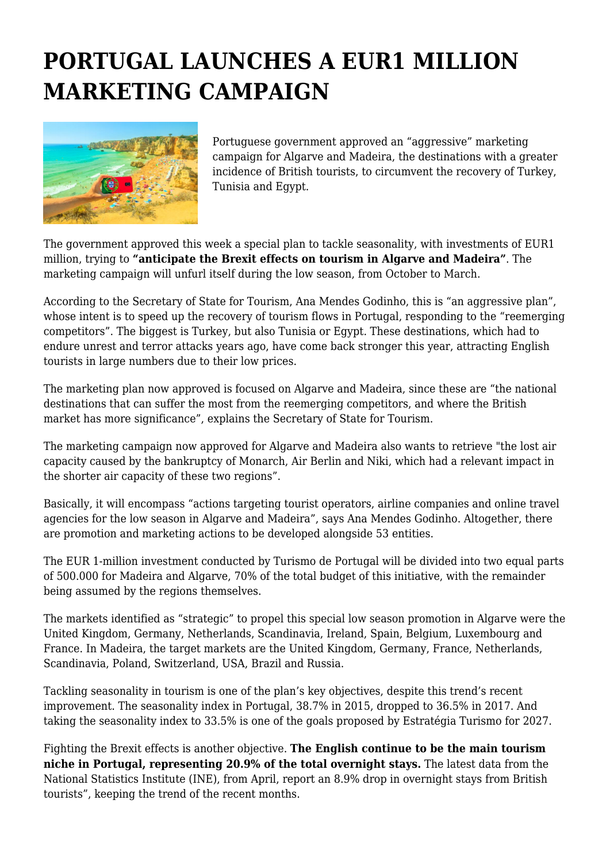## **PORTUGAL LAUNCHES A EUR1 MILLION MARKETING CAMPAIGN**



Portuguese government approved an "aggressive" marketing campaign for Algarve and Madeira, the destinations with a greater incidence of British tourists, to circumvent the recovery of Turkey, Tunisia and Egypt.

The government approved this week a special plan to tackle seasonality, with investments of EUR1 million, trying to **"anticipate the Brexit effects on tourism in Algarve and Madeira"**. The marketing campaign will unfurl itself during the low season, from October to March.

According to the Secretary of State for Tourism, Ana Mendes Godinho, this is "an aggressive plan", whose intent is to speed up the recovery of tourism flows in Portugal, responding to the "reemerging competitors". The biggest is Turkey, but also Tunisia or Egypt. These destinations, which had to endure unrest and terror attacks years ago, have come back stronger this year, attracting English tourists in large numbers due to their low prices.

The marketing plan now approved is focused on Algarve and Madeira, since these are "the national destinations that can suffer the most from the reemerging competitors, and where the British market has more significance", explains the Secretary of State for Tourism.

The marketing campaign now approved for Algarve and Madeira also wants to retrieve "the lost air capacity caused by the bankruptcy of Monarch, Air Berlin and Niki, which had a relevant impact in the shorter air capacity of these two regions".

Basically, it will encompass "actions targeting tourist operators, airline companies and online travel agencies for the low season in Algarve and Madeira", says Ana Mendes Godinho. Altogether, there are promotion and marketing actions to be developed alongside 53 entities.

The EUR 1-million investment conducted by Turismo de Portugal will be divided into two equal parts of 500.000 for Madeira and Algarve, 70% of the total budget of this initiative, with the remainder being assumed by the regions themselves.

The markets identified as "strategic" to propel this special low season promotion in Algarve were the United Kingdom, Germany, Netherlands, Scandinavia, Ireland, Spain, Belgium, Luxembourg and France. In Madeira, the target markets are the United Kingdom, Germany, France, Netherlands, Scandinavia, Poland, Switzerland, USA, Brazil and Russia.

Tackling seasonality in tourism is one of the plan's key objectives, despite this trend's recent improvement. The seasonality index in Portugal, 38.7% in 2015, dropped to 36.5% in 2017. And taking the seasonality index to 33.5% is one of the goals proposed by Estratégia Turismo for 2027.

Fighting the Brexit effects is another objective. **The English continue to be the main tourism niche in Portugal, representing 20.9% of the total overnight stays.** The latest data from the National Statistics Institute (INE), from April, report an 8.9% drop in overnight stays from British tourists", keeping the trend of the recent months.